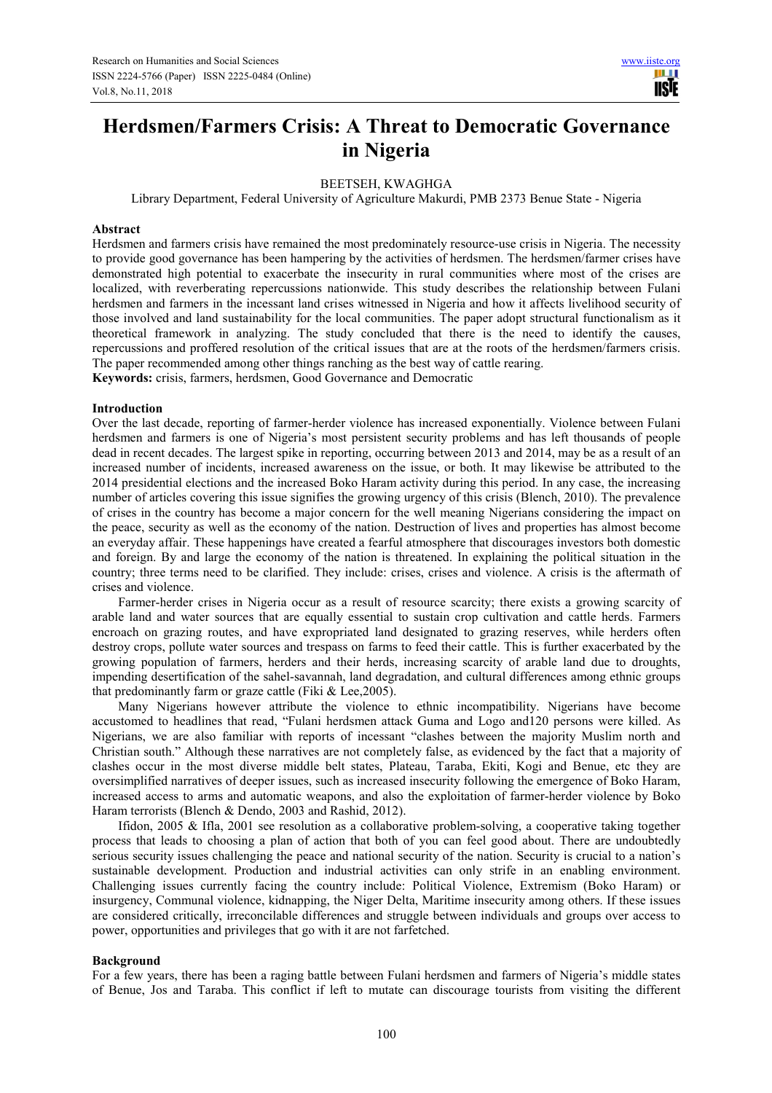# **Herdsmen/Farmers Crisis: A Threat to Democratic Governance in Nigeria**

## BEETSEH, KWAGHGA

Library Department, Federal University of Agriculture Makurdi, PMB 2373 Benue State - Nigeria

#### **Abstract**

Herdsmen and farmers crisis have remained the most predominately resource-use crisis in Nigeria. The necessity to provide good governance has been hampering by the activities of herdsmen. The herdsmen/farmer crises have demonstrated high potential to exacerbate the insecurity in rural communities where most of the crises are localized, with reverberating repercussions nationwide. This study describes the relationship between Fulani herdsmen and farmers in the incessant land crises witnessed in Nigeria and how it affects livelihood security of those involved and land sustainability for the local communities. The paper adopt structural functionalism as it theoretical framework in analyzing. The study concluded that there is the need to identify the causes, repercussions and proffered resolution of the critical issues that are at the roots of the herdsmen/farmers crisis. The paper recommended among other things ranching as the best way of cattle rearing.

**Keywords:** crisis, farmers, herdsmen, Good Governance and Democratic

## **Introduction**

Over the last decade, reporting of farmer-herder violence has increased exponentially. Violence between Fulani herdsmen and farmers is one of Nigeria's most persistent security problems and has left thousands of people dead in recent decades. The largest spike in reporting, occurring between 2013 and 2014, may be as a result of an increased number of incidents, increased awareness on the issue, or both. It may likewise be attributed to the 2014 presidential elections and the increased Boko Haram activity during this period. In any case, the increasing number of articles covering this issue signifies the growing urgency of this crisis (Blench, 2010). The prevalence of crises in the country has become a major concern for the well meaning Nigerians considering the impact on the peace, security as well as the economy of the nation. Destruction of lives and properties has almost become an everyday affair. These happenings have created a fearful atmosphere that discourages investors both domestic and foreign. By and large the economy of the nation is threatened. In explaining the political situation in the country; three terms need to be clarified. They include: crises, crises and violence. A crisis is the aftermath of crises and violence.

Farmer-herder crises in Nigeria occur as a result of resource scarcity; there exists a growing scarcity of arable land and water sources that are equally essential to sustain crop cultivation and cattle herds. Farmers encroach on grazing routes, and have expropriated land designated to grazing reserves, while herders often destroy crops, pollute water sources and trespass on farms to feed their cattle. This is further exacerbated by the growing population of farmers, herders and their herds, increasing scarcity of arable land due to droughts, impending desertification of the sahel-savannah, land degradation, and cultural differences among ethnic groups that predominantly farm or graze cattle (Fiki & Lee,2005).

Many Nigerians however attribute the violence to ethnic incompatibility. Nigerians have become accustomed to headlines that read, "Fulani herdsmen attack Guma and Logo and120 persons were killed. As Nigerians, we are also familiar with reports of incessant "clashes between the majority Muslim north and Christian south." Although these narratives are not completely false, as evidenced by the fact that a majority of clashes occur in the most diverse middle belt states, Plateau, Taraba, Ekiti, Kogi and Benue, etc they are oversimplified narratives of deeper issues, such as increased insecurity following the emergence of Boko Haram, increased access to arms and automatic weapons, and also the exploitation of farmer-herder violence by Boko Haram terrorists (Blench & Dendo, 2003 and Rashid, 2012).

Ifidon, 2005 & Ifla, 2001 see resolution as a collaborative problem-solving, a cooperative taking together process that leads to choosing a plan of action that both of you can feel good about. There are undoubtedly serious security issues challenging the peace and national security of the nation. Security is crucial to a nation's sustainable development. Production and industrial activities can only strife in an enabling environment. Challenging issues currently facing the country include: Political Violence, Extremism (Boko Haram) or insurgency, Communal violence, kidnapping, the Niger Delta, Maritime insecurity among others. If these issues are considered critically, irreconcilable differences and struggle between individuals and groups over access to power, opportunities and privileges that go with it are not farfetched.

#### **Background**

For a few years, there has been a raging battle between Fulani herdsmen and farmers of Nigeria's middle states of Benue, Jos and Taraba. This conflict if left to mutate can discourage tourists from visiting the different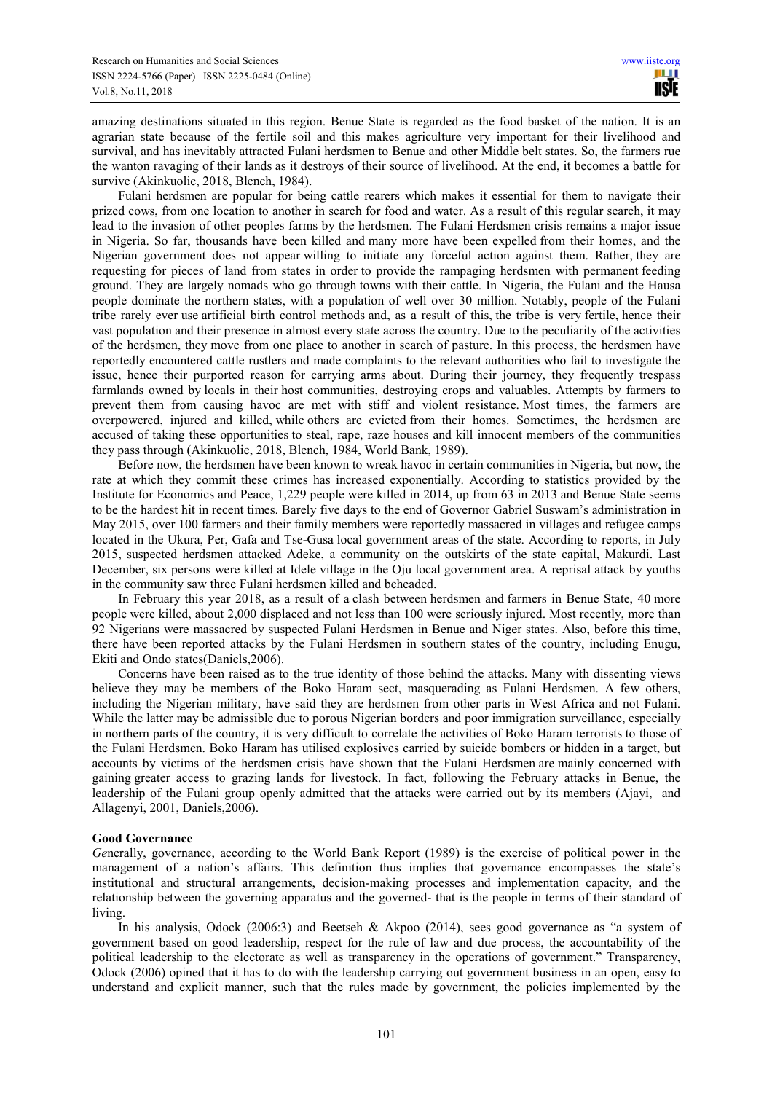amazing destinations situated in this region. Benue State is regarded as the food basket of the nation. It is an agrarian state because of the fertile soil and this makes agriculture very important for their livelihood and survival, and has inevitably attracted Fulani herdsmen to Benue and other Middle belt states. So, the farmers rue the wanton ravaging of their lands as it destroys of their source of livelihood. At the end, it becomes a battle for survive (Akinkuolie, 2018, Blench, 1984).

Fulani herdsmen are popular for being cattle rearers which makes it essential for them to navigate their prized cows, from one location to another in search for food and water. As a result of this regular search, it may lead to the invasion of other peoples farms by the herdsmen. The Fulani Herdsmen crisis remains a major issue in Nigeria. So far, thousands have been killed and many more have been expelled from their homes, and the Nigerian government does not appear willing to initiate any forceful action against them. Rather, they are requesting for pieces of land from states in order to provide the rampaging herdsmen with permanent feeding ground. They are largely nomads who go through towns with their cattle. In Nigeria, the Fulani and the Hausa people dominate the northern states, with a population of well over 30 million. Notably, people of the Fulani tribe rarely ever use artificial birth control methods and, as a result of this, the tribe is very fertile, hence their vast population and their presence in almost every state across the country. Due to the peculiarity of the activities of the herdsmen, they move from one place to another in search of pasture. In this process, the herdsmen have reportedly encountered cattle rustlers and made complaints to the relevant authorities who fail to investigate the issue, hence their purported reason for carrying arms about. During their journey, they frequently trespass farmlands owned by locals in their host communities, destroying crops and valuables. Attempts by farmers to prevent them from causing havoc are met with stiff and violent resistance. Most times, the farmers are overpowered, injured and killed, while others are evicted from their homes. Sometimes, the herdsmen are accused of taking these opportunities to steal, rape, raze houses and kill innocent members of the communities they pass through (Akinkuolie, 2018, Blench, 1984, World Bank, 1989).

Before now, the herdsmen have been known to wreak havoc in certain communities in Nigeria, but now, the rate at which they commit these crimes has increased exponentially. According to statistics provided by the Institute for Economics and Peace, 1,229 people were killed in 2014, up from 63 in 2013 and Benue State seems to be the hardest hit in recent times. Barely five days to the end of Governor Gabriel Suswam's administration in May 2015, over 100 farmers and their family members were reportedly massacred in villages and refugee camps located in the Ukura, Per, Gafa and Tse-Gusa local government areas of the state. According to reports, in July 2015, suspected herdsmen attacked Adeke, a community on the outskirts of the state capital, Makurdi. Last December, six persons were killed at Idele village in the Oju local government area. A reprisal attack by youths in the community saw three Fulani herdsmen killed and beheaded.

In February this year 2018, as a result of a clash between herdsmen and farmers in Benue State, 40 more people were killed, about 2,000 displaced and not less than 100 were seriously injured. Most recently, more than 92 Nigerians were massacred by suspected Fulani Herdsmen in Benue and Niger states. Also, before this time, there have been reported attacks by the Fulani Herdsmen in southern states of the country, including Enugu, Ekiti and Ondo states(Daniels,2006).

Concerns have been raised as to the true identity of those behind the attacks. Many with dissenting views believe they may be members of the Boko Haram sect, masquerading as Fulani Herdsmen. A few others, including the Nigerian military, have said they are herdsmen from other parts in West Africa and not Fulani. While the latter may be admissible due to porous Nigerian borders and poor immigration surveillance, especially in northern parts of the country, it is very difficult to correlate the activities of Boko Haram terrorists to those of the Fulani Herdsmen. Boko Haram has utilised explosives carried by suicide bombers or hidden in a target, but accounts by victims of the herdsmen crisis have shown that the Fulani Herdsmen are mainly concerned with gaining greater access to grazing lands for livestock. In fact, following the February attacks in Benue, the leadership of the Fulani group openly admitted that the attacks were carried out by its members (Ajayi, and Allagenyi, 2001, Daniels,2006).

## **Good Governance**

*Ge*nerally, governance, according to the World Bank Report (1989) is the exercise of political power in the management of a nation's affairs. This definition thus implies that governance encompasses the state's institutional and structural arrangements, decision-making processes and implementation capacity, and the relationship between the governing apparatus and the governed- that is the people in terms of their standard of living.

In his analysis, Odock (2006:3) and Beetseh & Akpoo (2014), sees good governance as "a system of government based on good leadership, respect for the rule of law and due process, the accountability of the political leadership to the electorate as well as transparency in the operations of government." Transparency, Odock (2006) opined that it has to do with the leadership carrying out government business in an open, easy to understand and explicit manner, such that the rules made by government, the policies implemented by the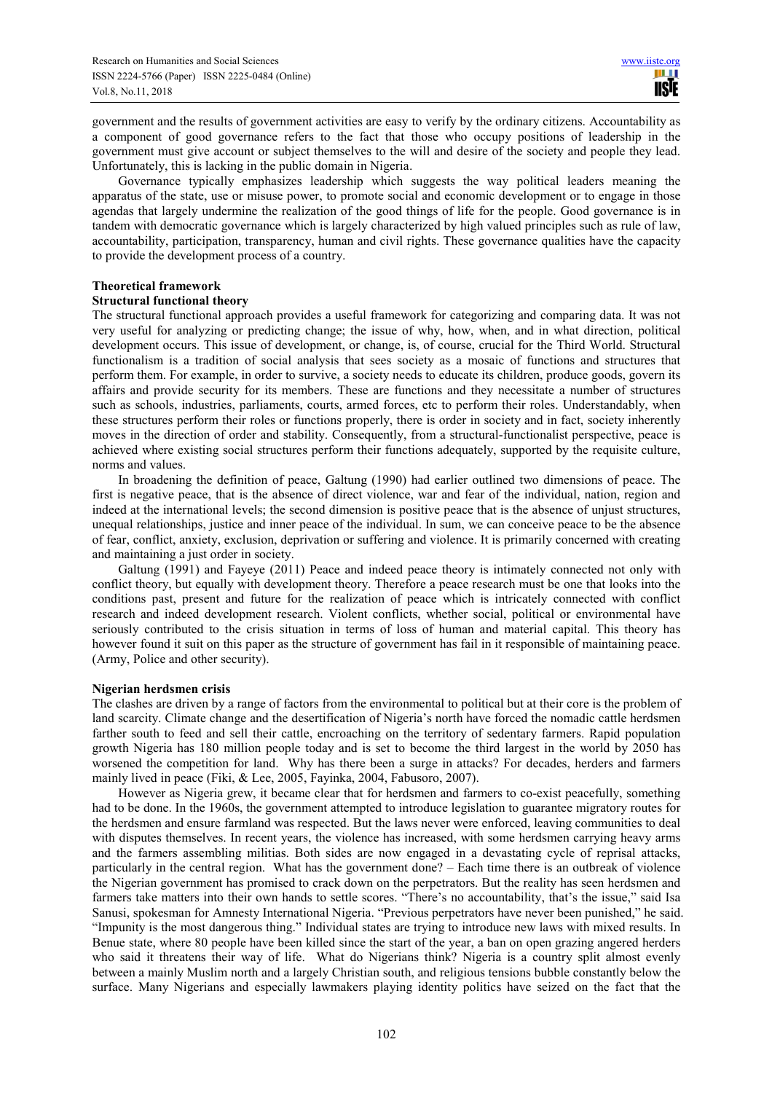government and the results of government activities are easy to verify by the ordinary citizens. Accountability as a component of good governance refers to the fact that those who occupy positions of leadership in the government must give account or subject themselves to the will and desire of the society and people they lead. Unfortunately, this is lacking in the public domain in Nigeria.

Governance typically emphasizes leadership which suggests the way political leaders meaning the apparatus of the state, use or misuse power, to promote social and economic development or to engage in those agendas that largely undermine the realization of the good things of life for the people. Good governance is in tandem with democratic governance which is largely characterized by high valued principles such as rule of law, accountability, participation, transparency, human and civil rights. These governance qualities have the capacity to provide the development process of a country.

## **Theoretical framework**

## **Structural functional theory**

The structural functional approach provides a useful framework for categorizing and comparing data. It was not very useful for analyzing or predicting change; the issue of why, how, when, and in what direction, political development occurs. This issue of development, or change, is, of course, crucial for the Third World. Structural functionalism is a tradition of social analysis that sees society as a mosaic of functions and structures that perform them. For example, in order to survive, a society needs to educate its children, produce goods, govern its affairs and provide security for its members. These are functions and they necessitate a number of structures such as schools, industries, parliaments, courts, armed forces, etc to perform their roles. Understandably, when these structures perform their roles or functions properly, there is order in society and in fact, society inherently moves in the direction of order and stability. Consequently, from a structural-functionalist perspective, peace is achieved where existing social structures perform their functions adequately, supported by the requisite culture, norms and values.

In broadening the definition of peace, Galtung (1990) had earlier outlined two dimensions of peace. The first is negative peace, that is the absence of direct violence, war and fear of the individual, nation, region and indeed at the international levels; the second dimension is positive peace that is the absence of unjust structures, unequal relationships, justice and inner peace of the individual. In sum, we can conceive peace to be the absence of fear, conflict, anxiety, exclusion, deprivation or suffering and violence. It is primarily concerned with creating and maintaining a just order in society.

Galtung (1991) and Fayeye (2011) Peace and indeed peace theory is intimately connected not only with conflict theory, but equally with development theory. Therefore a peace research must be one that looks into the conditions past, present and future for the realization of peace which is intricately connected with conflict research and indeed development research. Violent conflicts, whether social, political or environmental have seriously contributed to the crisis situation in terms of loss of human and material capital. This theory has however found it suit on this paper as the structure of government has fail in it responsible of maintaining peace. (Army, Police and other security).

## **Nigerian herdsmen crisis**

The clashes are driven by a range of factors from the environmental to political but at their core is the problem of land scarcity. Climate change and the desertification of Nigeria's north have forced the nomadic cattle herdsmen farther south to feed and sell their cattle, encroaching on the territory of sedentary farmers. Rapid population growth Nigeria has 180 million people today and is set to become the third largest in the world by 2050 has worsened the competition for land. Why has there been a surge in attacks? For decades, herders and farmers mainly lived in peace (Fiki, & Lee, 2005, Fayinka, 2004, Fabusoro, 2007).

However as Nigeria grew, it became clear that for herdsmen and farmers to co-exist peacefully, something had to be done. In the 1960s, the government attempted to introduce legislation to guarantee migratory routes for the herdsmen and ensure farmland was respected. But the laws never were enforced, leaving communities to deal with disputes themselves. In recent years, the violence has increased, with some herdsmen carrying heavy arms and the farmers assembling militias. Both sides are now engaged in a devastating cycle of reprisal attacks, particularly in the central region. What has the government done? – Each time there is an outbreak of violence the Nigerian government has promised to crack down on the perpetrators. But the reality has seen herdsmen and farmers take matters into their own hands to settle scores. "There's no accountability, that's the issue," said Isa Sanusi, spokesman for Amnesty International Nigeria. "Previous perpetrators have never been punished," he said. "Impunity is the most dangerous thing." Individual states are trying to introduce new laws with mixed results. In Benue state, where 80 people have been killed since the start of the year, a ban on open grazing angered herders who said it threatens their way of life. What do Nigerians think? Nigeria is a country split almost evenly between a mainly Muslim north and a largely Christian south, and religious tensions bubble constantly below the surface. Many Nigerians and especially lawmakers playing identity politics have seized on the fact that the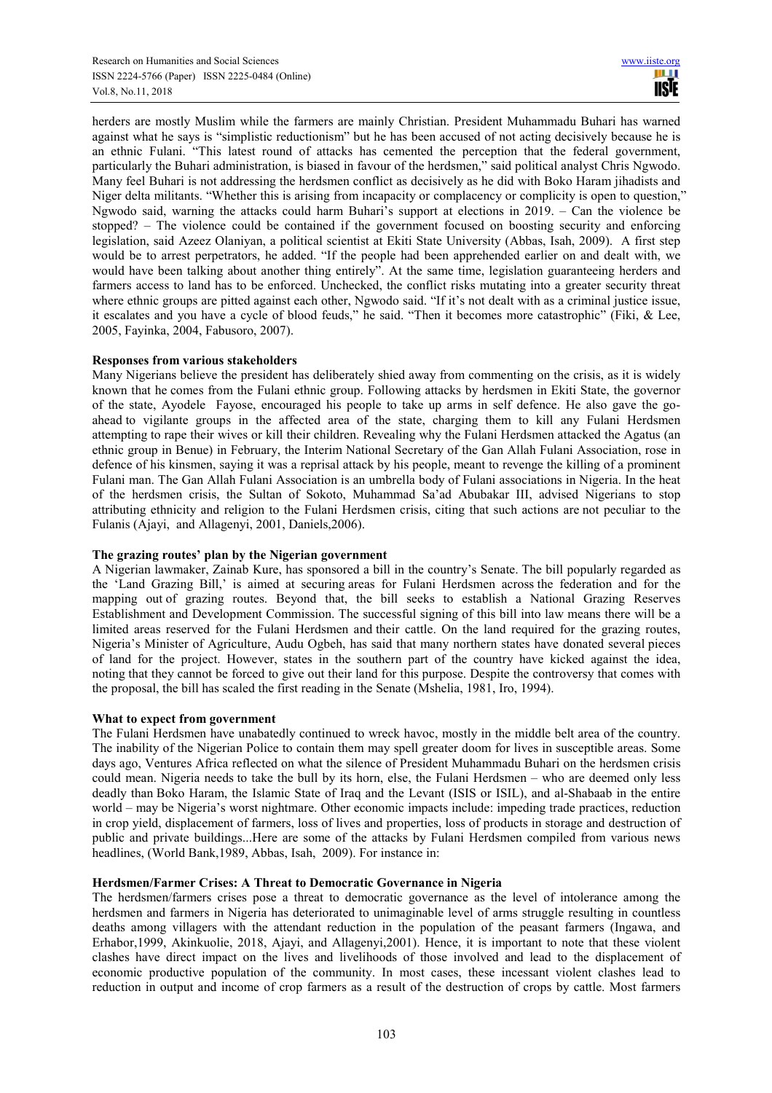herders are mostly Muslim while the farmers are mainly Christian. President Muhammadu Buhari has warned against what he says is "simplistic reductionism" but he has been accused of not acting decisively because he is an ethnic Fulani. "This latest round of attacks has cemented the perception that the federal government, particularly the Buhari administration, is biased in favour of the herdsmen," said political analyst Chris Ngwodo. Many feel Buhari is not addressing the herdsmen conflict as decisively as he did with Boko Haram jihadists and Niger delta militants. "Whether this is arising from incapacity or complacency or complicity is open to question," Ngwodo said, warning the attacks could harm Buhari's support at elections in 2019. – Can the violence be stopped? – The violence could be contained if the government focused on boosting security and enforcing legislation, said Azeez Olaniyan, a political scientist at Ekiti State University (Abbas, Isah, 2009). A first step would be to arrest perpetrators, he added. "If the people had been apprehended earlier on and dealt with, we would have been talking about another thing entirely". At the same time, legislation guaranteeing herders and farmers access to land has to be enforced. Unchecked, the conflict risks mutating into a greater security threat where ethnic groups are pitted against each other, Ngwodo said. "If it's not dealt with as a criminal justice issue, it escalates and you have a cycle of blood feuds," he said. "Then it becomes more catastrophic" (Fiki, & Lee, 2005, Fayinka, 2004, Fabusoro, 2007).

## **Responses from various stakeholders**

Many Nigerians believe the president has deliberately shied away from commenting on the crisis, as it is widely known that he comes from the Fulani ethnic group. Following attacks by herdsmen in Ekiti State, the governor of the state, Ayodele Fayose, encouraged his people to take up arms in self defence. He also gave the goahead to vigilante groups in the affected area of the state, charging them to kill any Fulani Herdsmen attempting to rape their wives or kill their children. Revealing why the Fulani Herdsmen attacked the Agatus (an ethnic group in Benue) in February, the Interim National Secretary of the Gan Allah Fulani Association, rose in defence of his kinsmen, saying it was a reprisal attack by his people, meant to revenge the killing of a prominent Fulani man. The Gan Allah Fulani Association is an umbrella body of Fulani associations in Nigeria. In the heat of the herdsmen crisis, the Sultan of Sokoto, Muhammad Sa'ad Abubakar III, advised Nigerians to stop attributing ethnicity and religion to the Fulani Herdsmen crisis, citing that such actions are not peculiar to the Fulanis (Ajayi, and Allagenyi, 2001, Daniels,2006).

# **The grazing routes' plan by the Nigerian government**

A Nigerian lawmaker, Zainab Kure, has sponsored a bill in the country's Senate. The bill popularly regarded as the 'Land Grazing Bill,' is aimed at securing areas for Fulani Herdsmen across the federation and for the mapping out of grazing routes. Beyond that, the bill seeks to establish a National Grazing Reserves Establishment and Development Commission. The successful signing of this bill into law means there will be a limited areas reserved for the Fulani Herdsmen and their cattle. On the land required for the grazing routes, Nigeria's Minister of Agriculture, Audu Ogbeh, has said that many northern states have donated several pieces of land for the project. However, states in the southern part of the country have kicked against the idea, noting that they cannot be forced to give out their land for this purpose. Despite the controversy that comes with the proposal, the bill has scaled the first reading in the Senate (Mshelia, 1981, Iro, 1994).

## **What to expect from government**

The Fulani Herdsmen have unabatedly continued to wreck havoc, mostly in the middle belt area of the country. The inability of the Nigerian Police to contain them may spell greater doom for lives in susceptible areas. Some days ago, Ventures Africa reflected on what the silence of President Muhammadu Buhari on the herdsmen crisis could mean. Nigeria needs to take the bull by its horn, else, the Fulani Herdsmen – who are deemed only less deadly than Boko Haram, the Islamic State of Iraq and the Levant (ISIS or ISIL), and al-Shabaab in the entire world – may be Nigeria's worst nightmare. Other economic impacts include: impeding trade practices, reduction in crop yield, displacement of farmers, loss of lives and properties, loss of products in storage and destruction of public and private buildings...Here are some of the attacks by Fulani Herdsmen compiled from various news headlines, (World Bank,1989, Abbas, Isah, 2009). For instance in:

## **Herdsmen/Farmer Crises: A Threat to Democratic Governance in Nigeria**

The herdsmen/farmers crises pose a threat to democratic governance as the level of intolerance among the herdsmen and farmers in Nigeria has deteriorated to unimaginable level of arms struggle resulting in countless deaths among villagers with the attendant reduction in the population of the peasant farmers (Ingawa, and Erhabor,1999, Akinkuolie, 2018, Ajayi, and Allagenyi,2001). Hence, it is important to note that these violent clashes have direct impact on the lives and livelihoods of those involved and lead to the displacement of economic productive population of the community. In most cases, these incessant violent clashes lead to reduction in output and income of crop farmers as a result of the destruction of crops by cattle. Most farmers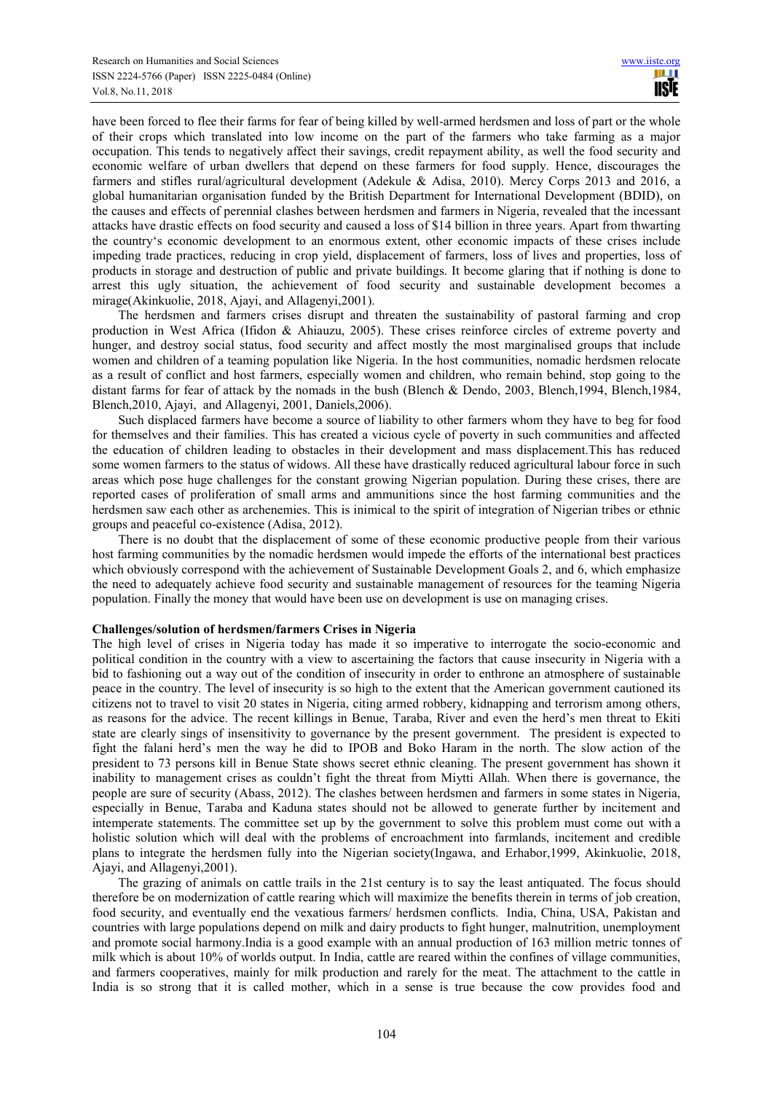have been forced to flee their farms for fear of being killed by well-armed herdsmen and loss of part or the whole of their crops which translated into low income on the part of the farmers who take farming as a major occupation. This tends to negatively affect their savings, credit repayment ability, as well the food security and economic welfare of urban dwellers that depend on these farmers for food supply. Hence, discourages the farmers and stifles rural/agricultural development (Adekule & Adisa, 2010). Mercy Corps 2013 and 2016, a global humanitarian organisation funded by the British Department for International Development (BDID), on the causes and effects of perennial clashes between herdsmen and farmers in Nigeria, revealed that the incessant attacks have drastic effects on food security and caused a loss of \$14 billion in three years. Apart from thwarting the country's economic development to an enormous extent, other economic impacts of these crises include impeding trade practices, reducing in crop yield, displacement of farmers, loss of lives and properties, loss of products in storage and destruction of public and private buildings. It become glaring that if nothing is done to arrest this ugly situation, the achievement of food security and sustainable development becomes a mirage(Akinkuolie, 2018, Ajayi, and Allagenyi,2001).

The herdsmen and farmers crises disrupt and threaten the sustainability of pastoral farming and crop production in West Africa (Ifidon & Ahiauzu, 2005). These crises reinforce circles of extreme poverty and hunger, and destroy social status, food security and affect mostly the most marginalised groups that include women and children of a teaming population like Nigeria. In the host communities, nomadic herdsmen relocate as a result of conflict and host farmers, especially women and children, who remain behind, stop going to the distant farms for fear of attack by the nomads in the bush (Blench & Dendo, 2003, Blench,1994, Blench,1984, Blench,2010, Ajayi, and Allagenyi, 2001, Daniels,2006).

Such displaced farmers have become a source of liability to other farmers whom they have to beg for food for themselves and their families. This has created a vicious cycle of poverty in such communities and affected the education of children leading to obstacles in their development and mass displacement.This has reduced some women farmers to the status of widows. All these have drastically reduced agricultural labour force in such areas which pose huge challenges for the constant growing Nigerian population. During these crises, there are reported cases of proliferation of small arms and ammunitions since the host farming communities and the herdsmen saw each other as archenemies. This is inimical to the spirit of integration of Nigerian tribes or ethnic groups and peaceful co-existence (Adisa, 2012).

There is no doubt that the displacement of some of these economic productive people from their various host farming communities by the nomadic herdsmen would impede the efforts of the international best practices which obviously correspond with the achievement of Sustainable Development Goals 2, and 6, which emphasize the need to adequately achieve food security and sustainable management of resources for the teaming Nigeria population. Finally the money that would have been use on development is use on managing crises.

## **Challenges/solution of herdsmen/farmers Crises in Nigeria**

The high level of crises in Nigeria today has made it so imperative to interrogate the socio-economic and political condition in the country with a view to ascertaining the factors that cause insecurity in Nigeria with a bid to fashioning out a way out of the condition of insecurity in order to enthrone an atmosphere of sustainable peace in the country. The level of insecurity is so high to the extent that the American government cautioned its citizens not to travel to visit 20 states in Nigeria, citing armed robbery, kidnapping and terrorism among others, as reasons for the advice. The recent killings in Benue, Taraba, River and even the herd's men threat to Ekiti state are clearly sings of insensitivity to governance by the present government. The president is expected to fight the falani herd's men the way he did to IPOB and Boko Haram in the north. The slow action of the president to 73 persons kill in Benue State shows secret ethnic cleaning. The present government has shown it inability to management crises as couldn't fight the threat from Miytti Allah. When there is governance, the people are sure of security (Abass, 2012). The clashes between herdsmen and farmers in some states in Nigeria, especially in Benue, Taraba and Kaduna states should not be allowed to generate further by incitement and intemperate statements. The committee set up by the government to solve this problem must come out with a holistic solution which will deal with the problems of encroachment into farmlands, incitement and credible plans to integrate the herdsmen fully into the Nigerian society(Ingawa, and Erhabor,1999, Akinkuolie, 2018, Ajayi, and Allagenyi,2001).

The grazing of animals on cattle trails in the 21st century is to say the least antiquated. The focus should therefore be on modernization of cattle rearing which will maximize the benefits therein in terms of job creation, food security, and eventually end the vexatious farmers/ herdsmen conflicts. India, China, USA, Pakistan and countries with large populations depend on milk and dairy products to fight hunger, malnutrition, unemployment and promote social harmony.India is a good example with an annual production of 163 million metric tonnes of milk which is about 10% of worlds output. In India, cattle are reared within the confines of village communities, and farmers cooperatives, mainly for milk production and rarely for the meat. The attachment to the cattle in India is so strong that it is called mother, which in a sense is true because the cow provides food and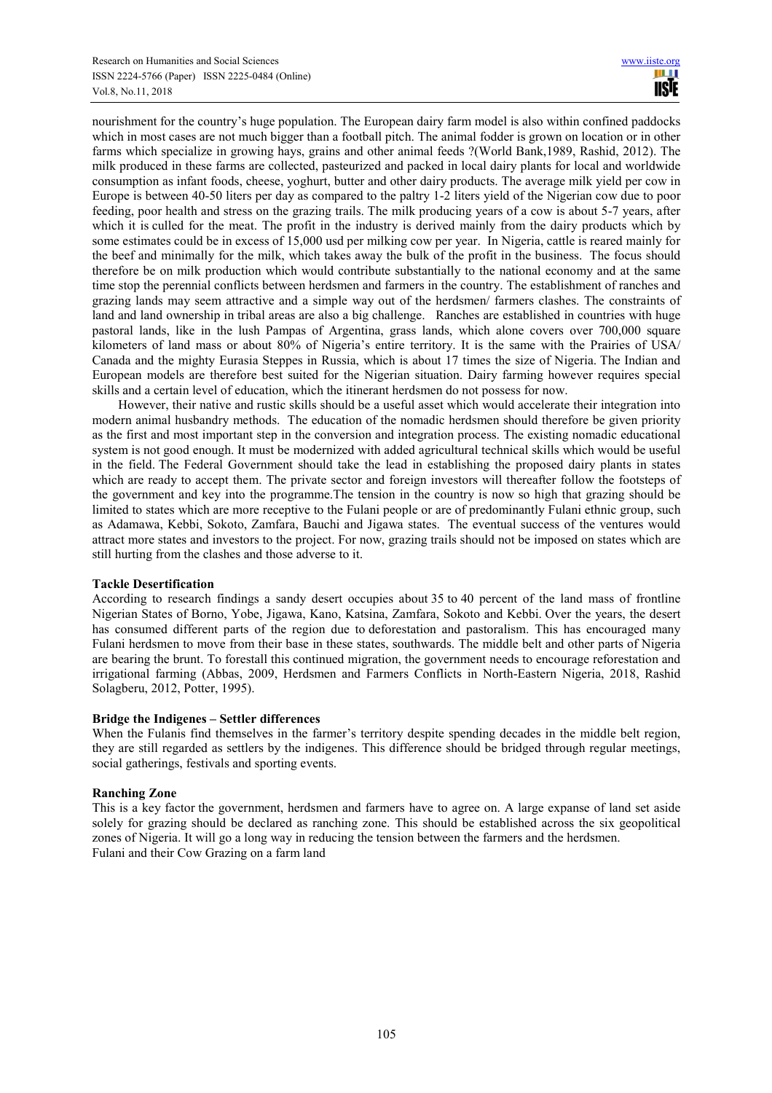nourishment for the country's huge population. The European dairy farm model is also within confined paddocks which in most cases are not much bigger than a football pitch. The animal fodder is grown on location or in other farms which specialize in growing hays, grains and other animal feeds ?(World Bank,1989, Rashid, 2012). The milk produced in these farms are collected, pasteurized and packed in local dairy plants for local and worldwide consumption as infant foods, cheese, yoghurt, butter and other dairy products. The average milk yield per cow in Europe is between 40-50 liters per day as compared to the paltry 1-2 liters yield of the Nigerian cow due to poor feeding, poor health and stress on the grazing trails. The milk producing years of a cow is about 5-7 years, after which it is culled for the meat. The profit in the industry is derived mainly from the dairy products which by some estimates could be in excess of 15,000 usd per milking cow per year. In Nigeria, cattle is reared mainly for the beef and minimally for the milk, which takes away the bulk of the profit in the business. The focus should therefore be on milk production which would contribute substantially to the national economy and at the same time stop the perennial conflicts between herdsmen and farmers in the country. The establishment of ranches and grazing lands may seem attractive and a simple way out of the herdsmen/ farmers clashes. The constraints of land and land ownership in tribal areas are also a big challenge. Ranches are established in countries with huge pastoral lands, like in the lush Pampas of Argentina, grass lands, which alone covers over 700,000 square kilometers of land mass or about 80% of Nigeria's entire territory. It is the same with the Prairies of USA/ Canada and the mighty Eurasia Steppes in Russia, which is about 17 times the size of Nigeria. The Indian and European models are therefore best suited for the Nigerian situation. Dairy farming however requires special skills and a certain level of education, which the itinerant herdsmen do not possess for now.

However, their native and rustic skills should be a useful asset which would accelerate their integration into modern animal husbandry methods. The education of the nomadic herdsmen should therefore be given priority as the first and most important step in the conversion and integration process. The existing nomadic educational system is not good enough. It must be modernized with added agricultural technical skills which would be useful in the field. The Federal Government should take the lead in establishing the proposed dairy plants in states which are ready to accept them. The private sector and foreign investors will thereafter follow the footsteps of the government and key into the programme.The tension in the country is now so high that grazing should be limited to states which are more receptive to the Fulani people or are of predominantly Fulani ethnic group, such as Adamawa, Kebbi, Sokoto, Zamfara, Bauchi and Jigawa states. The eventual success of the ventures would attract more states and investors to the project. For now, grazing trails should not be imposed on states which are still hurting from the clashes and those adverse to it.

# **Tackle Desertification**

According to research findings a sandy desert occupies about 35 to 40 percent of the land mass of frontline Nigerian States of Borno, Yobe, Jigawa, Kano, Katsina, Zamfara, Sokoto and Kebbi. Over the years, the desert has consumed different parts of the region due to deforestation and pastoralism. This has encouraged many Fulani herdsmen to move from their base in these states, southwards. The middle belt and other parts of Nigeria are bearing the brunt. To forestall this continued migration, the government needs to encourage reforestation and irrigational farming (Abbas, 2009, Herdsmen and Farmers Conflicts in North-Eastern Nigeria, 2018, Rashid Solagberu, 2012, Potter, 1995).

## **Bridge the Indigenes – Settler differences**

When the Fulanis find themselves in the farmer's territory despite spending decades in the middle belt region, they are still regarded as settlers by the indigenes. This difference should be bridged through regular meetings, social gatherings, festivals and sporting events.

## **Ranching Zone**

This is a key factor the government, herdsmen and farmers have to agree on. A large expanse of land set aside solely for grazing should be declared as ranching zone. This should be established across the six geopolitical zones of Nigeria. It will go a long way in reducing the tension between the farmers and the herdsmen. Fulani and their Cow Grazing on a farm land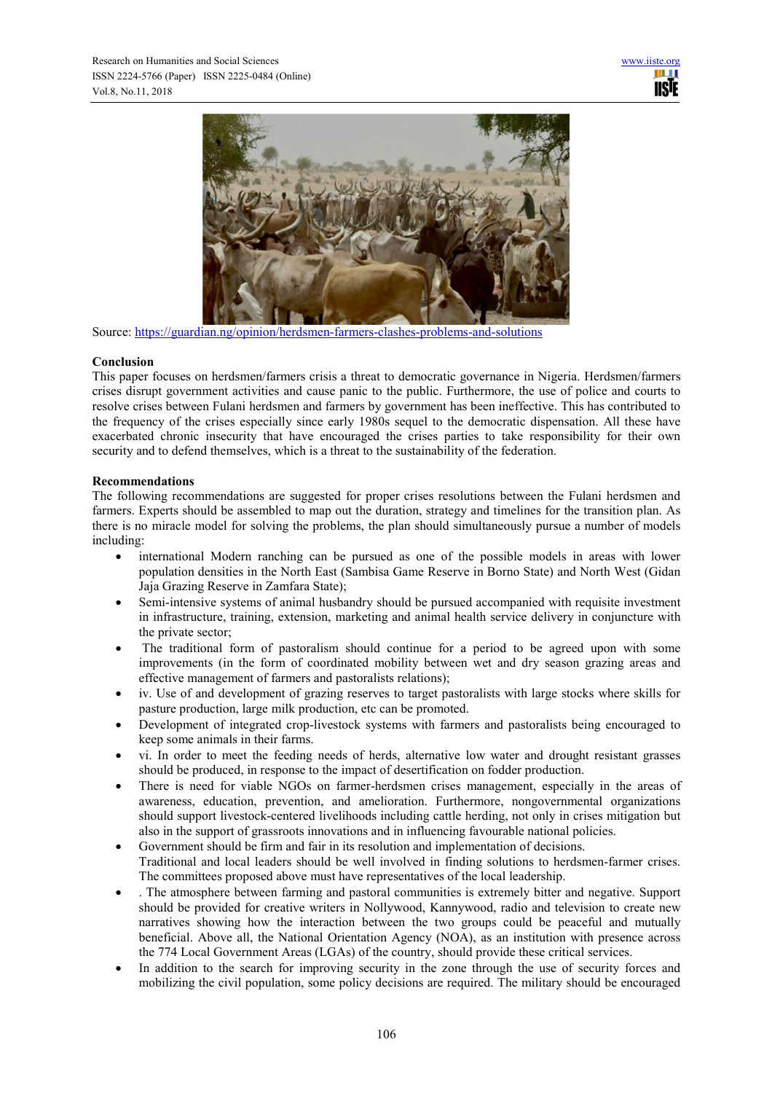

Source: https://guardian.ng/opinion/herdsmen-farmers-clashes-problems-and-solutions

## **Conclusion**

This paper focuses on herdsmen/farmers crisis a threat to democratic governance in Nigeria. Herdsmen/farmers crises disrupt government activities and cause panic to the public. Furthermore, the use of police and courts to resolve crises between Fulani herdsmen and farmers by government has been ineffective. This has contributed to the frequency of the crises especially since early 1980s sequel to the democratic dispensation. All these have exacerbated chronic insecurity that have encouraged the crises parties to take responsibility for their own security and to defend themselves, which is a threat to the sustainability of the federation.

# **Recommendations**

The following recommendations are suggested for proper crises resolutions between the Fulani herdsmen and farmers. Experts should be assembled to map out the duration, strategy and timelines for the transition plan. As there is no miracle model for solving the problems, the plan should simultaneously pursue a number of models including:

- international Modern ranching can be pursued as one of the possible models in areas with lower population densities in the North East (Sambisa Game Reserve in Borno State) and North West (Gidan Jaja Grazing Reserve in Zamfara State);
- Semi-intensive systems of animal husbandry should be pursued accompanied with requisite investment in infrastructure, training, extension, marketing and animal health service delivery in conjuncture with the private sector;
- The traditional form of pastoralism should continue for a period to be agreed upon with some improvements (in the form of coordinated mobility between wet and dry season grazing areas and effective management of farmers and pastoralists relations);
- iv. Use of and development of grazing reserves to target pastoralists with large stocks where skills for pasture production, large milk production, etc can be promoted.
- Development of integrated crop-livestock systems with farmers and pastoralists being encouraged to keep some animals in their farms.
- vi. In order to meet the feeding needs of herds, alternative low water and drought resistant grasses should be produced, in response to the impact of desertification on fodder production.
- There is need for viable NGOs on farmer-herdsmen crises management, especially in the areas of awareness, education, prevention, and amelioration. Furthermore, nongovernmental organizations should support livestock-centered livelihoods including cattle herding, not only in crises mitigation but also in the support of grassroots innovations and in influencing favourable national policies.
- Government should be firm and fair in its resolution and implementation of decisions. Traditional and local leaders should be well involved in finding solutions to herdsmen-farmer crises. The committees proposed above must have representatives of the local leadership.
- . The atmosphere between farming and pastoral communities is extremely bitter and negative. Support should be provided for creative writers in Nollywood, Kannywood, radio and television to create new narratives showing how the interaction between the two groups could be peaceful and mutually beneficial. Above all, the National Orientation Agency (NOA), as an institution with presence across the 774 Local Government Areas (LGAs) of the country, should provide these critical services.
- In addition to the search for improving security in the zone through the use of security forces and mobilizing the civil population, some policy decisions are required. The military should be encouraged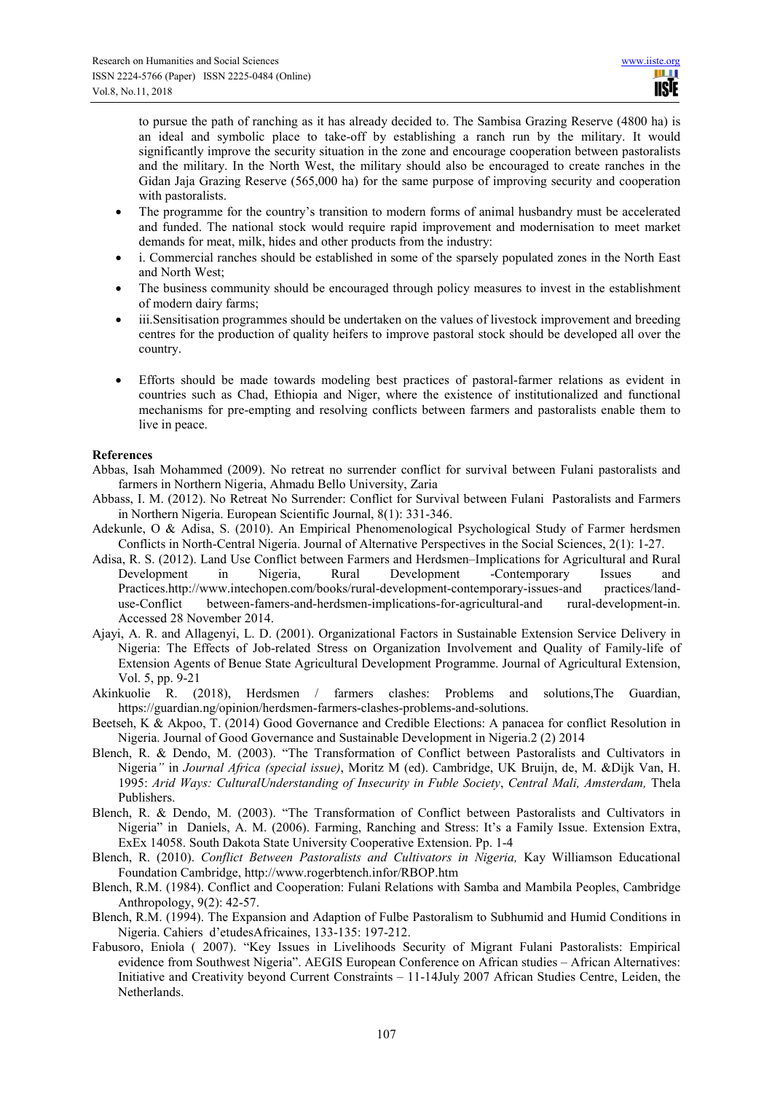to pursue the path of ranching as it has already decided to. The Sambisa Grazing Reserve (4800 ha) is an ideal and symbolic place to take-off by establishing a ranch run by the military. It would significantly improve the security situation in the zone and encourage cooperation between pastoralists and the military. In the North West, the military should also be encouraged to create ranches in the Gidan Jaja Grazing Reserve (565,000 ha) for the same purpose of improving security and cooperation with pastoralists.

- The programme for the country's transition to modern forms of animal husbandry must be accelerated and funded. The national stock would require rapid improvement and modernisation to meet market demands for meat, milk, hides and other products from the industry:
- i. Commercial ranches should be established in some of the sparsely populated zones in the North East and North West;
- The business community should be encouraged through policy measures to invest in the establishment of modern dairy farms;
- iii.Sensitisation programmes should be undertaken on the values of livestock improvement and breeding centres for the production of quality heifers to improve pastoral stock should be developed all over the country.
- Efforts should be made towards modeling best practices of pastoral-farmer relations as evident in countries such as Chad, Ethiopia and Niger, where the existence of institutionalized and functional mechanisms for pre-empting and resolving conflicts between farmers and pastoralists enable them to live in peace.

# **References**

- Abbas, Isah Mohammed (2009). No retreat no surrender conflict for survival between Fulani pastoralists and farmers in Northern Nigeria, Ahmadu Bello University, Zaria
- Abbass, I. M. (2012). No Retreat No Surrender: Conflict for Survival between Fulani Pastoralists and Farmers in Northern Nigeria. European Scientific Journal, 8(1): 331-346.
- Adekunle, O & Adisa, S. (2010). An Empirical Phenomenological Psychological Study of Farmer herdsmen Conflicts in North-Central Nigeria. Journal of Alternative Perspectives in the Social Sciences, 2(1): 1-27.
- Adisa, R. S. (2012). Land Use Conflict between Farmers and Herdsmen–Implications for Agricultural and Rural Development in Nigeria, Rural Development -Contemporary Issues and Practices.http://www.intechopen.com/books/rural-development-contemporary-issues-and practices/landuse-Conflict between-famers-and-herdsmen-implications-for-agricultural-and rural-development-in. Accessed 28 November 2014.
- Ajayi, A. R. and Allagenyi, L. D. (2001). Organizational Factors in Sustainable Extension Service Delivery in Nigeria: The Effects of Job-related Stress on Organization Involvement and Quality of Family-life of Extension Agents of Benue State Agricultural Development Programme. Journal of Agricultural Extension, Vol. 5, pp. 9-21
- Akinkuolie R. (2018), Herdsmen / farmers clashes: Problems and solutions,The Guardian, https://guardian.ng/opinion/herdsmen-farmers-clashes-problems-and-solutions.
- Beetseh, K & Akpoo, T. (2014) Good Governance and Credible Elections: A panacea for conflict Resolution in Nigeria. Journal of Good Governance and Sustainable Development in Nigeria.2 (2) 2014
- Blench, R. & Dendo, M. (2003). "The Transformation of Conflict between Pastoralists and Cultivators in Nigeria*"* in *Journal Africa (special issue)*, Moritz M (ed). Cambridge, UK Bruijn, de, M. &Dijk Van, H. 1995: *Arid Ways: CulturalUnderstanding of Insecurity in Fuble Society*, *Central Mali, Amsterdam,* Thela Publishers.
- Blench, R. & Dendo, M. (2003). "The Transformation of Conflict between Pastoralists and Cultivators in Nigeria" in Daniels, A. M. (2006). Farming, Ranching and Stress: It's a Family Issue. Extension Extra, ExEx 14058. South Dakota State University Cooperative Extension. Pp. 1-4
- Blench, R. (2010). *Conflict Between Pastoralists and Cultivators in Nigeria,* Kay Williamson Educational Foundation Cambridge, http://www.rogerbtench.infor/RBOP.htm
- Blench, R.M. (1984). Conflict and Cooperation: Fulani Relations with Samba and Mambila Peoples, Cambridge Anthropology, 9(2): 42-57.
- Blench, R.M. (1994). The Expansion and Adaption of Fulbe Pastoralism to Subhumid and Humid Conditions in Nigeria. Cahiers d'etudesAfricaines, 133-135: 197-212.
- Fabusoro, Eniola ( 2007). "Key Issues in Livelihoods Security of Migrant Fulani Pastoralists: Empirical evidence from Southwest Nigeria". AEGIS European Conference on African studies – African Alternatives: Initiative and Creativity beyond Current Constraints – 11-14July 2007 African Studies Centre, Leiden, the Netherlands.